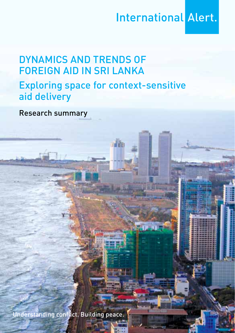# **International Alert.**

**I GUIDIDE AND** 

# DYNAMICS AND TRENDS OF FOREIGN AID IN SRI LANKA

# Exploring space for context-sensitive aid delivery

Research summary

Understanding conflict. Building peace.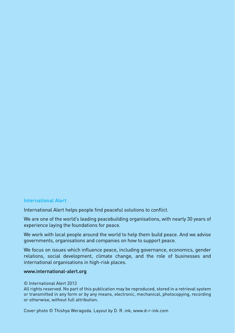#### International Alert

International Alert helps people find peaceful solutions to conflict.

We are one of the world's leading peacebuilding organisations, with nearly 30 years of experience laying the foundations for peace.

We work with local people around the world to help them build peace. And we advise governments, organisations and companies on how to support peace.

We focus on issues which influence peace, including governance, economics, gender relations, social development, climate change, and the role of businesses and international organisations in high-risk places.

#### www.international-alert.org

#### © International Alert 2013

All rights reserved. No part of this publication may be reproduced, stored in a retrieval system or transmitted in any form or by any means, electronic, mechanical, photocopying, recording or otherwise, without full attribution.

Cover photo © Thishya Weragoda. Layout by D. R. ink, www.d-r-ink.com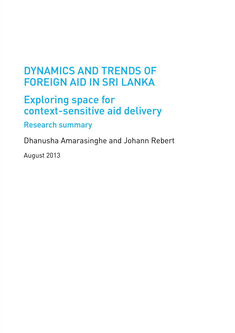# DYNAMICS AND TRENDS OF FOREIGN AID IN SRI LANKA

Exploring space for context-sensitive aid delivery

Research summary

Dhanusha Amarasinghe and Johann Rebert

August 2013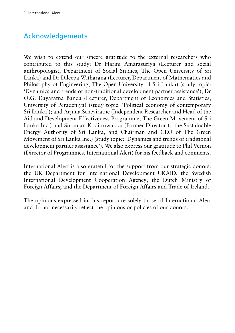# Acknowledgements

We wish to extend our sincere gratitude to the external researchers who contributed to this study: Dr Harini Amarasuriya (Lecturer and social anthropologist, Department of Social Studies, The Open University of Sri Lanka) and Dr Dileepa Witharana (Lecturer, Department of Mathematics and Philosophy of Engineering, The Open University of Sri Lanka) (study topic: 'Dynamics and trends of non-traditional development partner assistance'); Dr O.G. Dayaratna Banda (Lecturer, Department of Economics and Statistics, University of Peradeniya) (study topic: 'Political economy of contemporary Sri Lanka'); and Arjuna Seneviratne (Independent Researcher and Head of the Aid and Development Effectiveness Programme, The Green Movement of Sri Lanka Inc.) and Suranjan Kodittuwakku (Former Director to the Sustainable Energy Authority of Sri Lanka, and Chairman and CEO of The Green Movement of Sri Lanka Inc.) (study topic: 'Dynamics and trends of traditional development partner assistance'). We also express our gratitude to Phil Vernon (Director of Programmes, International Alert) for his feedback and comments.

International Alert is also grateful for the support from our strategic donors: the UK Department for International Development UKAID; the Swedish International Development Cooperation Agency; the Dutch Ministry of Foreign Affairs; and the Department of Foreign Affairs and Trade of Ireland.

The opinions expressed in this report are solely those of International Alert and do not necessarily reflect the opinions or policies of our donors.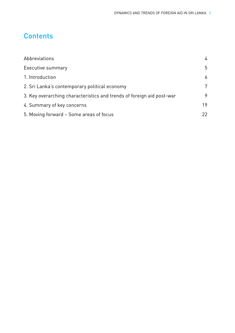# **Contents**

| Abbreviations                                                         | 4  |
|-----------------------------------------------------------------------|----|
| Executive summary                                                     | .5 |
| 1. Introduction                                                       | 6  |
| 2. Sri Lanka's contemporary political economy                         | 7  |
| 3. Key overarching characteristics and trends of foreign aid post-war | 9  |
| 4. Summary of key concerns                                            | 19 |
| 5. Moving forward – Some areas of focus                               | 22 |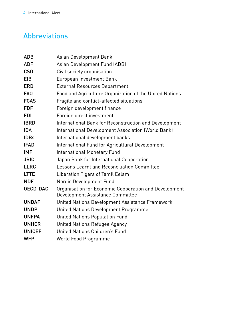# Abbreviations

| ADB             | Asian Development Bank                                                                      |
|-----------------|---------------------------------------------------------------------------------------------|
| <b>ADF</b>      | Asian Development Fund (ADB)                                                                |
| CS <sub>0</sub> | Civil society organisation                                                                  |
| <b>EIB</b>      | European Investment Bank                                                                    |
| ERD             | <b>External Resources Department</b>                                                        |
| FA <sub>0</sub> | Food and Agriculture Organization of the United Nations                                     |
| <b>FCAS</b>     | Fragile and conflict-affected situations                                                    |
| <b>FDF</b>      | Foreign development finance                                                                 |
| <b>FDI</b>      | Foreign direct investment                                                                   |
| <b>IBRD</b>     | International Bank for Reconstruction and Development                                       |
| <b>IDA</b>      | International Development Association (World Bank)                                          |
| <b>IDBs</b>     | International development banks                                                             |
| <b>IFAD</b>     | International Fund for Agricultural Development                                             |
| <b>IMF</b>      | International Monetary Fund                                                                 |
| <b>JBIC</b>     | Japan Bank for International Cooperation                                                    |
| <b>LLRC</b>     | Lessons Learnt and Reconciliation Committee                                                 |
| <b>LTTE</b>     | Liberation Tigers of Tamil Eelam                                                            |
| <b>NDF</b>      | Nordic Development Fund                                                                     |
| OECD-DAC        | Organisation for Economic Cooperation and Development -<br>Development Assistance Committee |
| <b>UNDAF</b>    | United Nations Development Assistance Framework                                             |
| <b>UNDP</b>     | United Nations Development Programme                                                        |
| <b>UNFPA</b>    | United Nations Population Fund                                                              |
| <b>UNHCR</b>    | United Nations Refugee Agency                                                               |
| <b>UNICEF</b>   | United Nations Children's Fund                                                              |
| WFP             | World Food Programme                                                                        |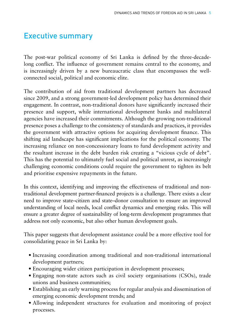# Executive summary

The post-war political economy of Sri Lanka is defined by the three-decadelong conflict. The influence of government remains central to the economy, and is increasingly driven by a new bureaucratic class that encompasses the wellconnected social, political and economic elite.

The contribution of aid from traditional development partners has decreased since 2009, and a strong government-led development policy has determined their engagement. In contrast, non-traditional donors have significantly increased their presence and support, while international development banks and multilateral agencies have increased their commitments. Although the growing non-traditional presence poses a challenge to the consistency of standards and practices, it provides the government with attractive options for acquiring development finance. This shifting aid landscape has significant implications for the political economy. The increasing reliance on non-concessionary loans to fund development activity and the resultant increase in the debt burden risk creating a "vicious cycle of debt". This has the potential to ultimately fuel social and political unrest, as increasingly challenging economic conditions could require the government to tighten its belt and prioritise expensive repayments in the future.

In this context, identifying and improving the effectiveness of traditional and nontraditional development partner-financed projects is a challenge. There exists a clear need to improve state–citizen and state–donor consultation to ensure an improved understanding of local needs, local conflict dynamics and emerging risks. This will ensure a greater degree of sustainability of long-term development programmes that address not only economic, but also other human development goals.

This paper suggests that development assistance could be a more effective tool for consolidating peace in Sri Lanka by:

- Increasing coordination among traditional and non-traditional international development partners;
- Encouraging wider citizen participation in development processes;
- Engaging non-state actors such as civil society organisations (CSOs), trade unions and business communities;
- Establishing an early warning process for regular analysis and dissemination of emerging economic development trends; and
- Allowing independent structures for evaluation and monitoring of project processes.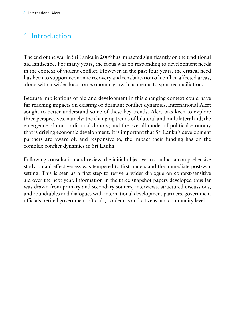# 1. Introduction

The end of the war in Sri Lanka in 2009 has impacted significantly on the traditional aid landscape. For many years, the focus was on responding to development needs in the context of violent conflict. However, in the past four years, the critical need has been to support economic recovery and rehabilitation of conflict-affected areas, along with a wider focus on economic growth as means to spur reconciliation.

Because implications of aid and development in this changing context could have far-reaching impacts on existing or dormant conflict dynamics, International Alert sought to better understand some of these key trends. Alert was keen to explore three perspectives, namely: the changing trends of bilateral and multilateral aid; the emergence of non-traditional donors; and the overall model of political economy that is driving economic development. It is important that Sri Lanka's development partners are aware of, and responsive to, the impact their funding has on the complex conflict dynamics in Sri Lanka.

Following consultation and review, the initial objective to conduct a comprehensive study on aid effectiveness was tempered to first understand the immediate post-war setting. This is seen as a first step to revive a wider dialogue on context-sensitive aid over the next year. Information in the three snapshot papers developed thus far was drawn from primary and secondary sources, interviews, structured discussions, and roundtables and dialogues with international development partners, government officials, retired government officials, academics and citizens at a community level.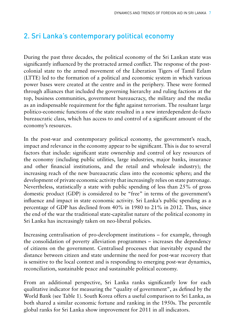# 2. Sri Lanka's contemporary political economy

During the past three decades, the political economy of the Sri Lankan state was significantly influenced by the protracted armed conflict. The response of the postcolonial state to the armed movement of the Liberation Tigers of Tamil Eelam (LTTE) led to the formation of a political and economic system in which various power bases were created at the centre and in the periphery. These were formed through alliances that included the governing hierarchy and ruling factions at the top, business communities, government bureaucracy, the military and the media as an indispensable requirement for the fight against terrorism. The resultant large politico-economic functions of the state resulted in a new interdependent de-facto bureaucratic class, which has access to and control of a significant amount of the economy's resources.

In the post-war and contemporary political economy, the government's reach, impact and relevance in the economy appear to be significant. This is due to several factors that include: significant state ownership and control of key resources of the economy (including public utilities, large industries, major banks, insurance and other financial institutions, and the retail and wholesale industry); the increasing reach of the new bureaucratic class into the economic sphere; and the development of private economic activity that increasingly relies on state patronage. Nevertheless, statistically a state with public spending of less than 25% of gross domestic product (GDP) is considered to be "free" in terms of the government's influence and impact in state economic activity. Sri Lanka's public spending as a percentage of GDP has declined from 40% in 1980 to 21% in 2012. Thus, since the end of the war the traditional state-capitalist nature of the political economy in Sri Lanka has increasingly taken on neo-liberal policies.

Increasing centralisation of pro-development institutions – for example, through the consolidation of poverty alleviation programmes – increases the dependency of citizens on the government. Centralised processes that inevitably expand the distance between citizen and state undermine the need for post-war recovery that is sensitive to the local context and is responding to emerging post-war dynamics, reconciliation, sustainable peace and sustainable political economy.

From an additional perspective, Sri Lanka ranks significantly low for each qualitative indicator for measuring the "quality of government", as defined by the World Bank (see Table 1). South Korea offers a useful comparison to Sri Lanka, as both shared a similar economic fortune and ranking in the 1950s. The percentile global ranks for Sri Lanka show improvement for 2011 in all indicators.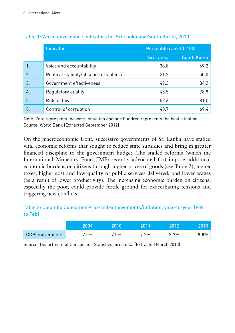|    | Indicator                               | Percentile rank (0-100) |                    |  |
|----|-----------------------------------------|-------------------------|--------------------|--|
|    |                                         | Sri Lanka               | <b>South Korea</b> |  |
|    | Voice and accountability                | 38.8                    | 69.2               |  |
| 2. | Political stability/absence of violence | 21.2                    | 50.0               |  |
| 3. | Government effectiveness                | 49.3                    | 84.2               |  |
| 4. | Regulatory quality                      | 45.5                    | 78.9               |  |
| 5. | Rule of law                             | 52.6                    | 81.0               |  |
| 6. | Control of corruption                   | 40.7                    | 69.4               |  |

### Table 1: World governance indicators for Sri Lanka and South Korea, 2010

Note: Zero represents the worst situation and one hundred represents the best situation. Source: World Bank (Extracted September 2012)

On the macroeconomic front, successive governments of Sri Lanka have stalled vital economic reforms that sought to reduce state subsidies and bring in greater financial discipline to the government budget. The stalled reforms (which the International Monetary Fund (IMF) recently advocated for) impose additional economic burdens on citizens through higher prices of goods (see Table 2), higher taxes, higher cost and low quality of public services delivered, and lower wages (as a result of lower productivity). The increasing economic burden on citizens, especially the poor, could provide fertile ground for exacerbating tensions and triggering new conflicts.

Table 2: Colombo Consumer Price Index movements/inflation, year-to-year (Feb to Feb)

|                | 2009 | 2010 | 2011    | 2012 | 2013    |
|----------------|------|------|---------|------|---------|
| CCPI movements | 7.5% | .5%  | $7.2\%$ | 2.7% | $9.8\%$ |

Source: Department of Census and Statistics, Sri Lanka (Extracted March 2013)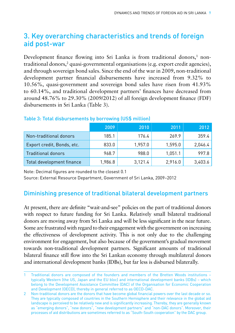# 3. Key overarching characteristics and trends of foreign aid post-war

Development finance flowing into Sri Lanka is from traditional donors,<sup>1</sup> nontraditional donors,<sup>2</sup> quasi-governmental organisations (e.g. export credit agencies), and through sovereign bond sales. Since the end of the war in 2009, non-traditional development partner financial disbursements have increased from 9.32% to 10.56%, quasi-government and sovereign bond sales have risen from 41.93% to 60.14%, and traditional development partners' finances have decreased from around 48.76% to 29.30% (2009/2012) of all foreign development finance (FDF) disbursements in Sri Lanka (Table 3).

|                            | 2009    | 2010    | 2011    | 2012    |
|----------------------------|---------|---------|---------|---------|
| Non-traditional donors     | 185.1   | 176.4   | 269.9   | 359.4   |
| Export credit, Bonds, etc. | 833.0   | 1.957.0 | 1,595.0 | 2,046.4 |
| <b>Traditional donors</b>  | 968.7   | 988.0   | 1,051.1 | 997.8   |
| Total development finance  | 1,986.8 | 3.121.4 | 2,916.0 | 3,403.6 |

#### Table 3: Total disbursements by borrowing (US\$ million)

Note: Decimal figures are rounded to the closest 0.1

Source: External Resource Department, Government of Sri Lanka, 2009–2012

### Diminishing presence of traditional bilateral development partners

At present, there are definite "wait-and-see" policies on the part of traditional donors with respect to future funding for Sri Lanka. Relatively small bilateral traditional donors are moving away from Sri Lanka and will be less significant in the near future. Some are frustrated with regard to their engagement with the government on increasing the effectiveness of development activity. This is not only due to the challenging environment for engagement, but also because of the government's gradual movement towards non-traditional development partners. Significant amounts of traditional bilateral finance still flow into the Sri Lankan economy through multilateral donors and international development banks (IDBs), but far less is disbursed bilaterally.

<sup>1</sup> Traditional donors are composed of the founders and members of the Bretten Woods institutions – typically Western (the US, Japan and the EU bloc) and international development banks (IDBs) – which belong to the Development Assistance Committee (DAC) of the Organisation for Economic Cooperation and Development (OECD), thereby in general referred to as OECD-DAC.

<sup>2</sup> Non-traditional donors are the donors that have become global financial powers over the last decade or so. They are typically composed of countries in the Southern Hemisphere and their relevance in the global aid landscape is perceived to be relatively new and is significantly increasing. Thereby, they are generally known as "emerging donors", "new donors", "new development partners" and "non-DAC donors". Moreover, their processes of aid distributions are sometimes referred to as "South-South cooperation" by the DAC group.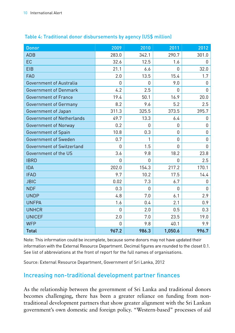| <b>Donor</b>                | 2009     | 2010         | 2011     | 2012         |
|-----------------------------|----------|--------------|----------|--------------|
| <b>ADB</b>                  | 283.0    | 342.1        | 290.7    | 301.0        |
| EC                          | 32.6     | 12.5         | 1.6      | $\Omega$     |
| <b>EIB</b>                  | 21.1     | 6.6          | 0        | 32.0         |
| FA <sub>0</sub>             | 2.0      | 13.5         | 15.4     | 1.7          |
| Government of Australia     | $\Omega$ | $\Omega$     | 9.0      | $\mathbf{0}$ |
| Government of Denmark       | 4.2      | 2.5          | 0        | $\mathbf{0}$ |
| <b>Government of France</b> | 19.4     | 50.1         | 16.9     | 20.0         |
| Government of Germany       | 8.2      | 9.6          | 5.2      | 2.5          |
| Government of Japan         | 311.3    | 325.5        | 373.5    | 395.7        |
| Government of Netherlands   | 49.7     | 13.3         | 6.4      | 0            |
| <b>Government of Norway</b> | 0.2      | U            | 0        | 0            |
| Government of Spain         | 10.8     | 0.3          | O        | 0            |
| Government of Sweden        | 0.7      | $\mathbf{1}$ | $\Omega$ | 0            |
| Government of Switzerland   | 0        | 1.5          | 0        | 0            |
| Government of the US        | 3.6      | 9.8          | 18.2     | 23.8         |
| <b>IBRD</b>                 | 0        | 0            | 0        | 2.5          |
| <b>IDA</b>                  | 202.0    | 154.3        | 217.2    | 170.1        |
| <b>IFAD</b>                 | 9.7      | 10.2         | 17.5     | 14.4         |
| <b>JBIC</b>                 | 0.02     | 7.3          | 6.7      | $\Omega$     |
| <b>NDF</b>                  | 0.3      | $\Omega$     | Û        | <sup>0</sup> |
| <b>UNDP</b>                 | 4.8      | 7.0          | 6.1      | 2.9          |
| <b>UNFPA</b>                | 1.6      | 0.4          | 2.1      | 0.9          |
| <b>UNHCR</b>                | 0        | 2.0          | 0.5      | 0.3          |
| <b>UNICEF</b>               | 2.0      | 7.0          | 23.5     | 19.0         |
| <b>WFP</b>                  | $\Omega$ | 9.8          | 40.1     | 9.9          |
| <b>Total</b>                | 967.2    | 986.3        | 1,050.6  | 996.7        |

#### Table 4: Traditional donor disbursements by agency (US\$ million)

Note: This information could be incomplete, because some donors may not have updated their information with the External Resource Department. Decimal figures are rounded to the closet 0.1. See list of abbreviations at the front of report for the full names of organisations.

Source: External Resource Department, Government of Sri Lanka, 2012

# Increasing non-traditional development partner finances

As the relationship between the government of Sri Lanka and traditional donors becomes challenging, there has been a greater reliance on funding from nontraditional development partners that show greater alignment with the Sri Lankan government's own domestic and foreign policy. "Western-based" processes of aid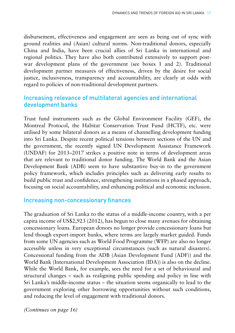disbursement, effectiveness and engagement are seen as being out of sync with ground realities and (Asian) cultural norms. Non-traditional donors, especially China and India, have been crucial allies of Sri Lanka in international and regional politics. They have also both contributed extensively to support postwar development plans of the government (see boxes 1 and 2). Traditional development partner measures of effectiveness, driven by the desire for social justice, inclusiveness, transparency and accountability, are clearly at odds with regard to policies of non-traditional development partners.

# Increasing relevance of multilateral agencies and international development banks

Trust fund instruments such as the Global Environment Facility (GEF), the Montreal Protocol, the Habitat Conservation Trust Fund (HCTF), etc. were utilised by some bilateral donors as a means of channelling development funding into Sri Lanka. Despite recent political tensions between sections of the UN and the government, the recently signed UN Development Assistance Framework (UNDAF) for 2013–2017 strikes a positive note in terms of development areas that are relevant to traditional donor funding. The World Bank and the Asian Development Bank (ADB) seem to have substantive buy-in to the government policy framework, which includes principles such as delivering early results to build public trust and confidence, strengthening institutions in a phased approach, focusing on social accountability, and enhancing political and economic inclusion.

## Increasing non-concessionary finances

The graduation of Sri Lanka to the status of a middle-income country, with a per capita income of US\$2,923 (2012), has begun to close many avenues for obtaining concessionary loans. European donors no longer provide concessionary loans but lend though export-import banks, where terms are largely market guided. Funds from some UN agencies such as World Food Programme (WFP) are also no longer accessible unless in very exceptional circumstances (such as natural disasters). Concessional funding from the ADB (Asian Development Fund (ADF)) and the World Bank (International Development Association (IDA)) is also on the decline. While the World Bank, for example, sees the need for a set of behavioural and structural changes – such as realigning public spending and policy in line with Sri Lanka's middle-income status – the situation seems organically to lead to the government exploring other borrowing opportunities without such conditions, and reducing the level of engagement with traditional donors.

*(Continues on page 16)*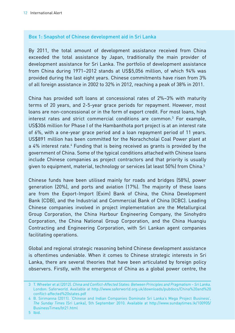#### Box 1: Snapshot of Chinese development aid in Sri Lanka

By 2011, the total amount of development assistance received from China exceeded the total assistance by Japan, traditionally the main provider of development assistance for Sri Lanka. The portfolio of development assistance from China during 1971–2012 stands at US\$5,056 million, of which 94% was provided during the last eight years. Chinese commitments have risen from 3% of all foreign assistance in 2002 to 32% in 2012, reaching a peak of 38% in 2011.

China has provided soft loans at concessional rates of 2%–3% with maturity terms of 20 years, and 2-5-year grace periods for repayment. However, most loans are non-concessional or in the form of export credit. For most loans, high interest rates and strict commercial conditions are common.3 For example, US\$306 million for Phase I of the Hambanthota port project is at an interest rate of 6%, with a one-year grace period and a loan repayment period of 11 years. US\$891 million has been committed for the Norachcholai Coal Power plant at a 4% interest rate.<sup>4</sup> Funding that is being received as grants is provided by the government of China. Some of the typical conditions attached with Chinese loans include Chinese companies as project contractors and that priority is usually given to equipment, material, technology or services (at least 50%) from China.5

Chinese funds have been utilised mainly for roads and bridges (58%), power generation (20%), and ports and aviation (17%). The majority of these loans are from the Export-Import (Exim) Bank of China, the China Development Bank (CDB), and the Industrial and Commercial Bank of China (ICBC). Leading Chinese companies involved in project implementation are the Metallurgical Group Corporation, the China Harbour Engineering Company, the Sinohydro Corporation, the China National Group Corporation, and the China Huanqiu Contracting and Engineering Corporation, with Sri Lankan agent companies facilitating operations.

Global and regional strategic reasoning behind Chinese development assistance is oftentimes undeniable. When it comes to Chinese strategic interests in Sri Lanka, there are several theories that have been articulated by foreign policy observers. Firstly, with the emergence of China as a global power centre, the

5 Ibid.

<sup>3</sup> T. Wheeler et al (2012). *China and Conflict-Affected States: Between Principles and Pragmatism – Sri Lanka*. London: Saferworld. Available at http://www.saferworld.org.uk/downloads/pubdocs/China%20and%20 conflict-affected%20states.pdf

<sup>4</sup> B. Sirimanna (2011). 'Chinese and Indian Companies Dominate Sri Lanka's Mega Project Business', *The Sunday Times* (Sri Lanka), 5th September 2010. Available at http://www.sundaytimes.lk/100905/ BusinessTimes/bt21.html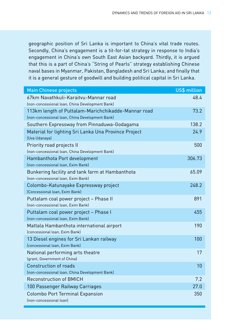geographic position of Sri Lanka is important to China's vital trade routes. Secondly, China's engagement is a tit-for-tat strategy in response to India's engagement in China's own South East Asian backyard. Thirdly, it is argued that this is a part of China's "String of Pearls" strategy establishing Chinese naval bases in Myanmar, Pakistan, Bangladesh and Sri Lanka; and finally that it is a general gesture of goodwill and building political capital in Sri Lanka.

| <b>Main Chinese projects</b>                         | US\$ million |
|------------------------------------------------------|--------------|
| 67km Navathkuli-Karaitvu-Mannar road                 | 48.4         |
| (non-concessional loan, China Development Bank)      |              |
| 113km length of Puttalam-Marichchikadde-Mannar road  | 73.2         |
| (non-concessional loan, China Development Bank)      |              |
| Southern Expressway from Pinnaduwa-Godagama          | 138.2        |
| Material for lighting Sri Lanka Una Province Project | 24.9         |
| (Uva Udanaya)                                        |              |
| Priority road projects II                            | 500          |
| (non-concessional loan, China Development Bank)      |              |
| Hambanthota Port development                         | 306.73       |
| (non-concessional loan, Exim Bank)                   |              |
| Bunkering facility and tank farm at Hambanthota      | 65.09        |
| (non-concessional loan, Exim Bank)                   |              |
| Colombo-Katunayake Expressway project                | 248.2        |
| (Concessional loan, Exim Bank)                       |              |
| Puttalam coal power project - Phase II               | 891          |
| (non-concessional loan, Exim Bank)                   |              |
| Puttalam coal power project - Phase I                | 455          |
| (non-concessional loan, Exim Bank)                   |              |
| Mattala Hambanthota international airport            | 190          |
| (concessional loan, Exim Bank)                       |              |
| 13 Diesel engines for Sri Lankan railway             | 100          |
| (concessional loan, Exim Bank)                       |              |
| National performing arts theatre                     | 17           |
| (grant, Government of China)                         |              |
| Construction of roads                                | 10           |
| (non-concessional loan, China Development Bank)      |              |
| <b>Reconstruction of BMICH</b>                       | 7.2          |
| 100 Passenger Railway Carriages                      | 27.0         |
| Colombo Port Terminal Expansion                      | 350          |
| Inon-concessional loanl                              |              |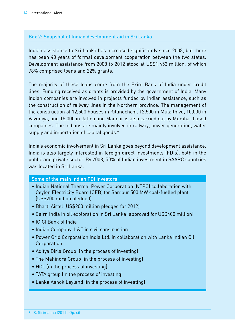#### Box 2: Snapshot of Indian development aid in Sri Lanka

Indian assistance to Sri Lanka has increased significantly since 2008, but there has been 40 years of formal development cooperation between the two states. Development assistance from 2008 to 2012 stood at US\$1,453 million, of which 78% comprised loans and 22% grants.

The majority of these loans come from the Exim Bank of India under credit lines. Funding received as grants is provided by the government of India. Many Indian companies are involved in projects funded by Indian assistance, such as the construction of railway lines in the Northern province. The management of the construction of 12,500 houses in Killinochchi, 12,500 in Mulaithivu, 10,000 in Vavuniya, and 15,000 in Jaffna and Mannar is also carried out by Mumbai-based companies. The Indians are mainly involved in railway, power generation, water supply and importation of capital goods.<sup>6</sup>

India's economic involvement in Sri Lanka goes beyond development assistance. India is also largely interested in foreign direct investments (FDIs), both in the public and private sector. By 2008, 50% of Indian investment in SAARC countries was located in Sri Lanka.

#### Some of the main Indian FDI investors

- Indian National Thermal Power Corporation (NTPC) collaboration with Ceylon Electricity Board (CEB) for Sampur 500 MW coal-fuelled plant (US\$200 million pledged)
- Bharti Airtel (US\$200 million pledged for 2012)
- Cairn India in oil exploration in Sri Lanka (approved for US\$400 million)
- ICICI Bank of India
- Indian Company, L&T in civil construction
- Power Grid Corporation India Ltd. in collaboration with Lanka Indian Oil Corporation
- Aditya Birla Group (in the process of investing)
- The Mahindra Group (in the process of investing)
- HCL (in the process of investing)
- TATA group (in the process of investing)
- Lanka Ashok Leyland (in the process of investing)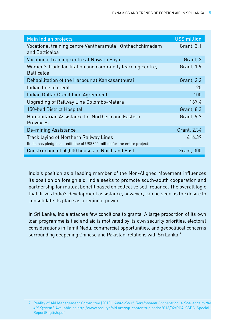| Main Indian projects                                                                                                  | US\$ million       |
|-----------------------------------------------------------------------------------------------------------------------|--------------------|
| Vocational training centre Vantharamulai, Onthachchimadam<br>and Batticaloa                                           | <b>Grant</b> , 3.1 |
| Vocational training centre at Nuwara Eliya                                                                            | Grant, 2           |
| Women's trade facilitation and community learning centre,<br><b>Batticaloa</b>                                        | Grant, 1.9         |
| Rehabilitation of the Harbour at Kankasanthurai                                                                       | Grant, 2.2         |
| Indian line of credit                                                                                                 | 25                 |
| Indian Dollar Credit Line Agreement                                                                                   | 100                |
| Upgrading of Railway Line Colombo-Matara                                                                              | 167.4              |
| 150-bed District Hospital                                                                                             | Grant, 8.3         |
| Humanitarian Assistance for Northern and Eastern<br>Provinces                                                         | Grant, 9.7         |
| De-mining Assistance                                                                                                  | Grant, 2.34        |
| Track laying of Northern Railway Lines<br>(India has pledged a credit line of US\$800 million for the entire project) | 416.39             |
| Construction of 50,000 houses in North and East                                                                       | <b>Grant, 300</b>  |

India's position as a leading member of the Non-Aligned Movement influences its position on foreign aid. India seeks to promote south-south cooperation and partnership for mutual benefit based on collective self-reliance. The overall logic that drives India's development assistance, however, can be seen as the desire to consolidate its place as a regional power.

In Sri Lanka, India attaches few conditions to grants. A large proportion of its own loan programme is tied and aid is motivated by its own security priorities, electoral considerations in Tamil Nadu, commercial opportunities, and geopolitical concerns surrounding deepening Chinese and Pakistani relations with Sri Lanka.<sup>7</sup>

<sup>7</sup> Reality of Aid Management Committee (2010). *South-South Development Cooperation: A Challenge to the Aid System?* Available at http://www.realityofaid.org/wp-content/uploads/2013/02/ROA-SSDC-Special-ReportEnglish.pdf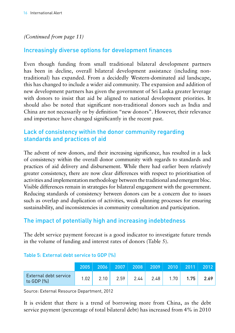## *(Continued from page 11)*

## Increasingly diverse options for development finances

Even though funding from small traditional bilateral development partners has been in decline, overall bilateral development assistance (including nontraditional) has expanded. From a decidedly Western-dominated aid landscape, this has changed to include a wider aid community. The expansion and addition of new development partners has given the government of Sri Lanka greater leverage with donors to insist that aid be aligned to national development priorities. It should also be noted that significant non-traditional donors such as India and China are not necessarily or by definition "new donors". However, their relevance and importance have changed significantly in the recent past.

# Lack of consistency within the donor community regarding standards and practices of aid

The advent of new donors, and their increasing significance, has resulted in a lack of consistency within the overall donor community with regards to standards and practices of aid delivery and disbursement. While there had earlier been relatively greater consistency, there are now clear differences with respect to prioritisation of activities and implementation methodology between the traditional and emergent bloc. Visible differences remain in strategies for bilateral engagement with the government. Reducing standards of consistency between donors can be a concern due to issues such as overlap and duplication of activities, weak planning processes for ensuring sustainability, and inconsistencies in community consultation and participation.

# The impact of potentially high and increasing indebtedness

The debt service payment forecast is a good indicator to investigate future trends in the volume of funding and interest rates of donors (Table 5).

#### Table 5: External debt service to GDP (%)

|                                     | 2005 | 12006 | 2007 | <b>2008</b> | $\sim$ 2009 N | $\sim$ 2010 $\sim$ | $-2011$  | 2012 |
|-------------------------------------|------|-------|------|-------------|---------------|--------------------|----------|------|
| External debt service<br>to GDP [%] | 1.02 | 2.10  | 2.59 | 2.44        | 2.48          | 1.70               | $1.75 +$ | 2.69 |

Source: External Resource Department, 2012

It is evident that there is a trend of borrowing more from China, as the debt service payment (percentage of total bilateral debt) has increased from 4% in 2010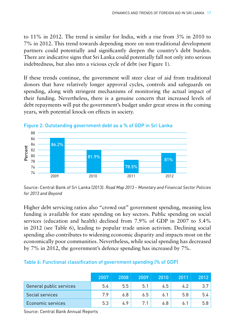to 11% in 2012. The trend is similar for India, with a rise from 3% in 2010 to 7% in 2012. This trend towards depending more on non-traditional development partners could potentially and significantly deepen the country's debt burden. There are indicative signs that Sri Lanka could potentially fall not only into serious indebtedness, but also into a vicious cycle of debt (see Figure 1).

If these trends continue, the government will steer clear of aid from traditional donors that have relatively longer approval cycles, controls and safeguards on spending, along with stringent mechanisms of monitoring the actual impact of their funding. Nevertheless, there is a genuine concern that increased levels of debt repayments will put the government's budget under great stress in the coming years, with potential knock-on effects in society.



#### Figure 2: Outstanding government debt as a % of GDP in Sri Lanka

Source: Central Bank of Sri Lanka (2013). *Road Map 2013 – Monetary and Financial Sector Policies for 2013 and Beyond*

Higher debt servicing ratios also "crowd out" government spending, meaning less funding is available for state spending on key sectors. Public spending on social services (education and health) declined from 7.9% of GDP in 2007 to 5.4% in 2012 (see Table 6), leading to popular trade union activism. Declining social spending also contributes to widening economic disparity and impacts most on the economically poor communities. Nevertheless, while social spending has decreased by 7% in 2012, the government's defence spending has increased by 7%.

#### Table 6: Functional classification of government spending (% of GDP)

|                         | 2007 | 2008 | 2009 | 2010 | 2011 | 2012 |
|-------------------------|------|------|------|------|------|------|
| General public services | 5.4  | 5.5  | 5.1  | 4.5  | 4.2  | 3.7  |
| Social services         | 7.9  | 6.8  | 6.5  | 6.   | 5.8  | 5.4  |
| Economic services       | 5.3  | 4.9  | 7.1  | 6.8  | 6.1  | 5.8  |

Source: Central Bank Annual Reports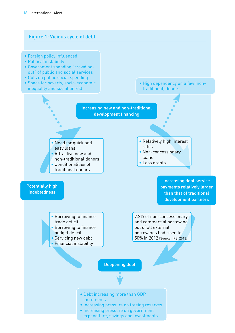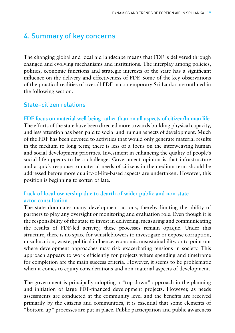# 4. Summary of key concerns

The changing global and local aid landscape means that FDF is delivered through changed and evolving mechanisms and institutions. The interplay among policies, politics, economic functions and strategic interests of the state has a significant influence on the delivery and effectiveness of FDF. Some of the key observations of the practical realities of overall FDF in contemporary Sri Lanka are outlined in the following section.

## State–citizen relations

**FDF focus on material well-being rather than on all aspects of citizen/human life**  The efforts of the state have been directed more towards building physical capacity, and less attention has been paid to social and human aspects of development. Much of the FDF has been devoted to activities that would only generate material results in the medium to long term; there is less of a focus on the interweaving human and social development priorities. Investment in enhancing the quality of people's social life appears to be a challenge. Government opinion is that infrastructure and a quick response to material needs of citizens in the medium term should be addressed before more quality-of-life-based aspects are undertaken. However, this position is beginning to soften of late.

## **Lack of local ownership due to dearth of wider public and non-state actor consultation**

The state dominates many development actions, thereby limiting the ability of partners to play any oversight or monitoring and evaluation role. Even though it is the responsibility of the state to invest in delivering, measuring and communicating the results of FDF-led activity, these processes remain opaque. Under this structure, there is no space for whistleblowers to investigate or expose corruption, misallocation, waste, political influence, economic unsustainability, or to point out where development approaches may risk exacerbating tensions in society. This approach appears to work efficiently for projects where spending and timeframe for completion are the main success criteria. However, it seems to be problematic when it comes to equity considerations and non-material aspects of development.

The government is principally adopting a "top-down" approach in the planning and initiation of large FDF-financed development projects. However, as needs assessments are conducted at the community level and the benefits are received primarily by the citizens and communities, it is essential that some elements of "bottom-up" processes are put in place. Public participation and public awareness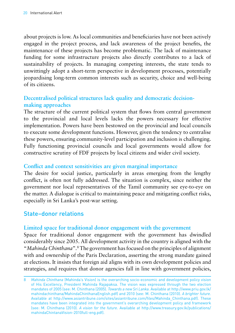about projects is low. As local communities and beneficiaries have not been actively engaged in the project process, and lack awareness of the project benefits, the maintenance of these projects has become problematic. The lack of maintenance funding for some infrastructure projects also directly contributes to a lack of sustainability of projects. In managing competing interests, the state tends to unwittingly adopt a short-term perspective in development processes, potentially jeopardising long-term common interests such as security, choice and well-being of its citizens.

## **Decentralised political structures lack quality and democratic decisionmaking approaches**

The structure of the current political system that flows from central government to the provincial and local levels lacks the powers necessary for effective implementation. Powers have been bestowed on the provincial and local councils to execute some development functions. However, given the tendency to centralise these powers, ensuring community-level participation and inclusion is challenging. Fully functioning provincial councils and local governments would allow for constructive scrutiny of FDF projects by local citizens and wider civil society.

# **Conflict and context sensitivities are given marginal importance**

The desire for social justice, particularly in areas emerging from the lengthy conflict, is often not fully addressed. The situation is complex, since neither the government nor local representatives of the Tamil community see eye-to-eye on the matter. A dialogue is critical to maintaining peace and mitigating conflict risks, especially in Sri Lanka's post-war setting.

## State–donor relations

## **Limited space for traditional donor engagement with the government**

Space for traditional donor engagement with the government has dwindled considerably since 2005. All development activity in the country is aligned with the "*Mahinda Chinthana*"*.* 8 The government has focused on the principles of alignment with and ownership of the Paris Declaration, asserting the strong mandate gained at elections. It insists that foreign aid aligns with its own development policies and strategies, and requires that donor agencies fall in line with government policies,

<sup>8</sup> *Mahinda Chinthana* (Mahinda's Vision) is the overarching socio-economic and development policy vision of His Excellency, President Mahinda Rajapaksa. The vision was expressed through the two election mandates of 2005 (see: M. Chinthana (2005). *Towards a new Sri Lanka*. Available at [http://www.priu.gov.lk/](http://www.priu.gov.lk/mahindachinthana/MahindaChinthanaEnglish.pdf) [mahindachinthana/MahindaChinthanaEnglish.pdf\)](http://www.priu.gov.lk/mahindachinthana/MahindaChinthanaEnglish.pdf) and 2010 (see: M. Chinthana (2010). *A brighter future*. Available at [http://www.asiantribune.com/sites/asiantribune.com/files/Mahinda\\_Chinthana.pdf](http://www.asiantribune.com/sites/asiantribune.com/files/Mahinda_Chinthana.pdf)). These mandates have been integrated into the government's overarching development policy and framework (see: M. Chinthana (2010). *A vision for the future*. Available at [http://www.treasury.gov.lk/publications/](http://www.treasury.gov.lk/publications/mahindaChintanaVision-2010full-eng.pdf) [mahindaChintanaVision-2010full-eng.pdf\)](http://www.treasury.gov.lk/publications/mahindaChintanaVision-2010full-eng.pdf).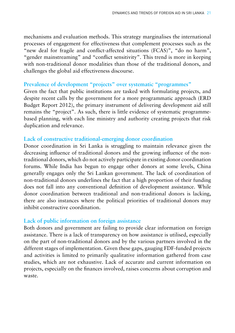mechanisms and evaluation methods. This strategy marginalises the international processes of engagement for effectiveness that complement processes such as the "new deal for fragile and conflict-affected situations (FCAS)", "do no harm", "gender mainstreaming" and "conflict sensitivity". This trend is more in keeping with non-traditional donor modalities than those of the traditional donors, and challenges the global aid effectiveness discourse.

#### **Prevalence of development "projects" over systematic "programmes"**

Given the fact that public institutions are tasked with formulating projects, and despite recent calls by the government for a more programmatic approach (ERD Budget Report 2012), the primary instrument of delivering development aid still remains the "project". As such, there is little evidence of systematic programmebased planning, with each line ministry and authority creating projects that risk duplication and relevance.

#### **Lack of constructive traditional-emerging donor coordination**

Donor coordination in Sri Lanka is struggling to maintain relevance given the decreasing influence of traditional donors and the growing influence of the nontraditional donors, which do not actively participate in existing donor coordination forums. While India has begun to engage other donors at some levels, China generally engages only the Sri Lankan government. The lack of coordination of non-traditional donors underlines the fact that a high proportion of their funding does not fall into any conventional definition of development assistance. While donor coordination between traditional and non-traditional donors is lacking, there are also instances where the political priorities of traditional donors may inhibit constructive coordination.

#### **Lack of public information on foreign assistance**

Both donors and government are failing to provide clear information on foreign assistance. There is a lack of transparency on how assistance is utilised, especially on the part of non-traditional donors and by the various partners involved in the different stages of implementation. Given these gaps, gauging FDF-funded projects and activities is limited to primarily qualitative information gathered from case studies, which are not exhaustive. Lack of accurate and current information on projects, especially on the finances involved, raises concerns about corruption and waste.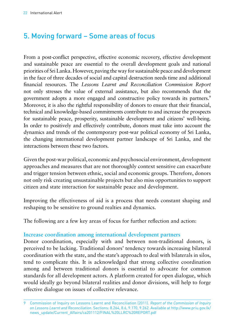# 5. Moving forward – Some areas of focus

From a post-conflict perspective, effective economic recovery, effective development and sustainable peace are essential to the overall development goals and national priorities of Sri Lanka. However, paving the way for sustainable peace and development in the face of three decades of social and capital destruction needs time and additional financial resources. The *Lessons Learnt and Reconciliation Commission Report* not only stresses the value of external assistance, but also recommends that the government adopts a more engaged and constructive policy towards its partners.<sup>9</sup> Moreover, it is also the rightful responsibility of donors to ensure that their financial, technical and knowledge-based commitments contribute to and increase the prospects for sustainable peace, prosperity, sustainable development and citizens' well-being. In order to positively and effectively contribute, donors must take into account the dynamics and trends of the contemporary post-war political economy of Sri Lanka, the changing international development partner landscape of Sri Lanka, and the interactions between these two factors.

Given the post-war political, economic and psychosocial environment, development approaches and measures that are not thoroughly context sensitive can exacerbate and trigger tension between ethnic, social and economic groups. Therefore, donors not only risk creating unsustainable projects but also miss opportunities to support citizen and state interaction for sustainable peace and development.

Improving the effectiveness of aid is a process that needs constant shaping and reshaping to be sensitive to ground realties and dynamics.

The following are a few key areas of focus for further reflection and action:

## **Increase coordination among international development partners**

Donor coordination, especially with and between non-traditional donors, is perceived to be lacking. Traditional donors' tendency towards increasing bilateral coordination with the state, and the state's approach to deal with bilaterals in silos, tend to complicate this. It is acknowledged that strong collective coordination among and between traditional donors is essential to advocate for common standards for all development actors. A platform created for open dialogue, which would ideally go beyond bilateral realities and donor divisions, will help to forge effective dialogue on issues of collective relevance*.*

<sup>9</sup> Commission of Inquiry on Lessons Learnt and Reconciliation (2011). *Report of the Commission of Inquiry on Lessons Learnt and Reconciliation*. Sections: 8.264, 8.6, 9.170, 9.262. Available at [http://www.priu.gov.lk/](http://www.priu.gov.lk/news_update/Current_Affairs/ca201112/FINAL%20LLRC%20REPORT.pdf) [news\\_update/Current\\_Affairs/ca201112/FINAL%20LLRC%20REPORT.pdf](http://www.priu.gov.lk/news_update/Current_Affairs/ca201112/FINAL%20LLRC%20REPORT.pdf)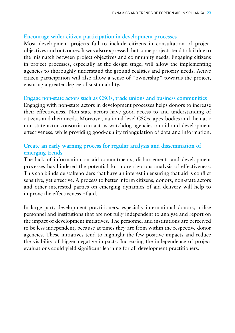#### **Encourage wider citizen participation in development processes**

Most development projects fail to include citizens in consultation of project objectives and outcomes. It was also expressed that some projects tend to fail due to the mismatch between project objectives and community needs. Engaging citizens in project processes, especially at the design stage, will allow the implementing agencies to thoroughly understand the ground realities and priority needs. Active citizen participation will also allow a sense of "ownership" towards the project, ensuring a greater degree of sustainability.

#### **Engage non-state actors such as CSOs, trade unions and business communities**

Engaging with non-state actors in development processes helps donors to increase their effectiveness. Non-state actors have good access to and understanding of citizens and their needs. Moreover, national-level CSOs, apex bodies and thematic non-state actor consortia can act as watchdog agencies on aid and development effectiveness, while providing good-quality triangulation of data and information.

## **Create an early warning process for regular analysis and dissemination of emerging trends**

The lack of information on aid commitments, disbursements and development processes has hindered the potential for more rigorous analysis of effectiveness. This can blindside stakeholders that have an interest in ensuring that aid is conflict sensitive, yet effective. A process to better inform citizens, donors, non-state actors and other interested parties on emerging dynamics of aid delivery will help to improve the effectiveness of aid.

In large part, development practitioners, especially international donors, utilise personnel and institutions that are not fully independent to analyse and report on the impact of development initiatives. The personnel and institutions are perceived to be less independent, because at times they are from within the respective donor agencies. These initiatives tend to highlight the few positive impacts and reduce the visibility of bigger negative impacts. Increasing the independence of project evaluations could yield significant learning for all development practitioners.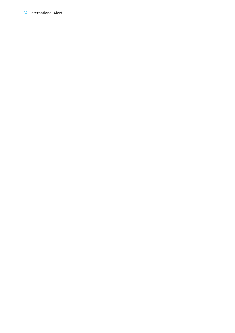#### 24 International Alert